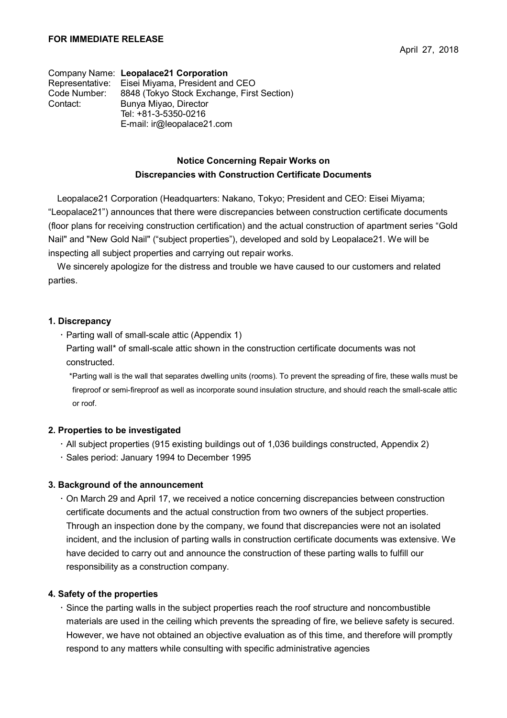Company Name: **Leopalace21 Corporation** Representative: Eisei Miyama, President and CEO Code Number: 8848 (Tokyo Stock Exchange, First Section) Contact: Bunya Miyao, Director Tel: +81-3-5350-0216 E-mail: ir@leopalace21.com

## **Notice Concerning Repair Works on Discrepancies with Construction Certificate Documents**

Leopalace21 Corporation (Headquarters: Nakano, Tokyo; President and CEO: Eisei Miyama; "Leopalace21") announces that there were discrepancies between construction certificate documents (floor plans for receiving construction certification) and the actual construction of apartment series "Gold Nail" and "New Gold Nail" ("subject properties"), developed and sold by Leopalace21. We will be inspecting all subject properties and carrying out repair works.

We sincerely apologize for the distress and trouble we have caused to our customers and related parties.

#### **1. Discrepancy**

 $\cdot$  Parting wall of small-scale attic (Appendix 1)

Parting wall\* of small-scale attic shown in the construction certificate documents was not constructed.

\*Parting wall is the wall that separates dwelling units (rooms). To prevent the spreading of fire, these walls must be fireproof or semi-fireproof as well as incorporate sound insulation structure, and should reach the small-scale attic or roof.

#### **2. Properties to be investigated**

- All subject properties (915 existing buildings out of 1,036 buildings constructed, Appendix 2)
- Sales period: January 1994 to December 1995

#### **3. Background of the announcement**

 On March 29 and April 17, we received a notice concerning discrepancies between construction certificate documents and the actual construction from two owners of the subject properties. Through an inspection done by the company, we found that discrepancies were not an isolated incident, and the inclusion of parting walls in construction certificate documents was extensive. We have decided to carry out and announce the construction of these parting walls to fulfill our responsibility as a construction company.

#### **4. Safety of the properties**

 Since the parting walls in the subject properties reach the roof structure and noncombustible materials are used in the ceiling which prevents the spreading of fire, we believe safety is secured. However, we have not obtained an objective evaluation as of this time, and therefore will promptly respond to any matters while consulting with specific administrative agencies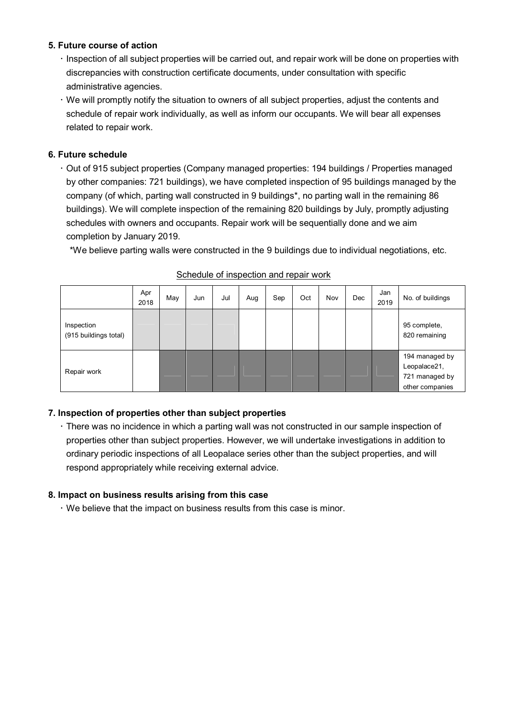## **5. Future course of action**

- Inspection of all subject properties will be carried out, and repair work will be done on properties with discrepancies with construction certificate documents, under consultation with specific administrative agencies.
- We will promptly notify the situation to owners of all subject properties, adjust the contents and schedule of repair work individually, as well as inform our occupants. We will bear all expenses related to repair work.

# **6. Future schedule**

 Out of 915 subject properties (Company managed properties: 194 buildings / Properties managed by other companies: 721 buildings), we have completed inspection of 95 buildings managed by the company (of which, parting wall constructed in 9 buildings\*, no parting wall in the remaining 86 buildings). We will complete inspection of the remaining 820 buildings by July, promptly adjusting schedules with owners and occupants. Repair work will be sequentially done and we aim completion by January 2019.

\*We believe parting walls were constructed in the 9 buildings due to individual negotiations, etc.

|                                     | Apr<br>2018 | May | Jun | Jul | Aug | Sep | Oct | Nov | Dec | Jan<br>2019 | No. of buildings                                                    |
|-------------------------------------|-------------|-----|-----|-----|-----|-----|-----|-----|-----|-------------|---------------------------------------------------------------------|
| Inspection<br>(915 buildings total) |             |     |     |     |     |     |     |     |     |             | 95 complete,<br>820 remaining                                       |
| Repair work                         |             |     |     |     |     |     |     |     |     |             | 194 managed by<br>Leopalace21,<br>721 managed by<br>other companies |

### Schedule of inspection and repair work

# **7. Inspection of properties other than subject properties**

 There was no incidence in which a parting wall was not constructed in our sample inspection of properties other than subject properties. However, we will undertake investigations in addition to ordinary periodic inspections of all Leopalace series other than the subject properties, and will respond appropriately while receiving external advice.

### **8. Impact on business results arising from this case**

We believe that the impact on business results from this case is minor.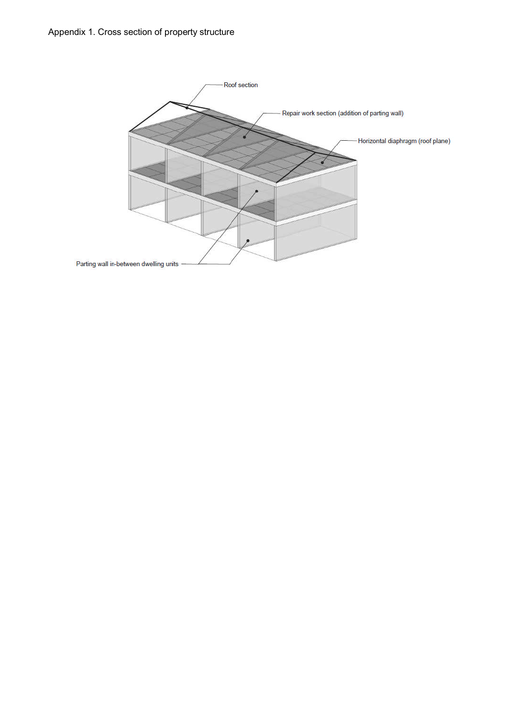